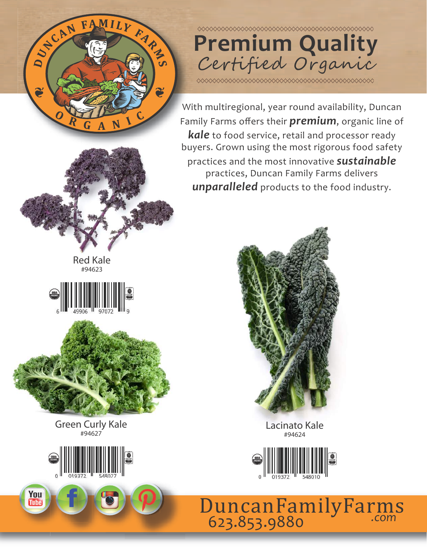



With multiregional, year round availability, Duncan Family Farms offers their **premium**, organic line of *kale* to food service, retail and processor ready buyers. Grown using the most rigorous food safety practices and the most innovative *sustainable* practices, Duncan Family Farms delivers *unparalleled* products to the food industry.







Green Curly Kale #94627



Lacinato Kale #94624



*.com* 623.853.9880 DuncanFamilyFarms



You<br>Tube